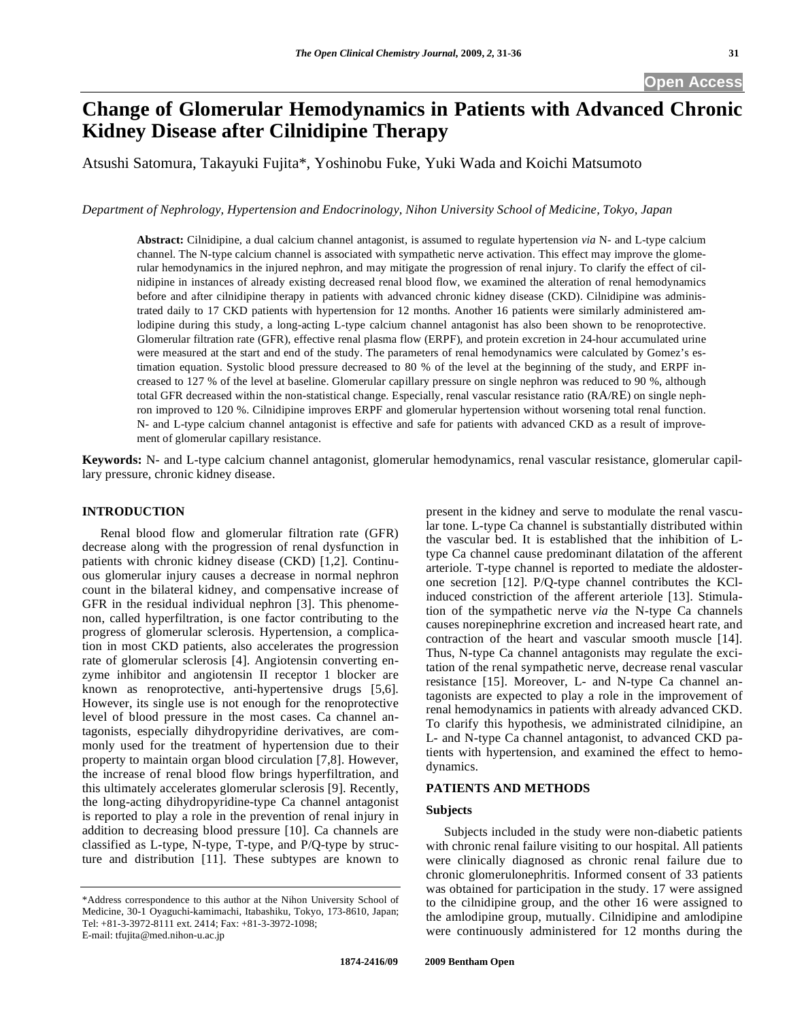# **Change of Glomerular Hemodynamics in Patients with Advanced Chronic Kidney Disease after Cilnidipine Therapy**

Atsushi Satomura, Takayuki Fujita\*, Yoshinobu Fuke, Yuki Wada and Koichi Matsumoto

*Department of Nephrology, Hypertension and Endocrinology, Nihon University School of Medicine, Tokyo, Japan* 

**Abstract:** Cilnidipine, a dual calcium channel antagonist, is assumed to regulate hypertension *via* N- and L-type calcium channel. The N-type calcium channel is associated with sympathetic nerve activation. This effect may improve the glomerular hemodynamics in the injured nephron, and may mitigate the progression of renal injury. To clarify the effect of cilnidipine in instances of already existing decreased renal blood flow, we examined the alteration of renal hemodynamics before and after cilnidipine therapy in patients with advanced chronic kidney disease (CKD). Cilnidipine was administrated daily to 17 CKD patients with hypertension for 12 months. Another 16 patients were similarly administered amlodipine during this study, a long-acting L-type calcium channel antagonist has also been shown to be renoprotective. Glomerular filtration rate (GFR), effective renal plasma flow (ERPF), and protein excretion in 24-hour accumulated urine were measured at the start and end of the study. The parameters of renal hemodynamics were calculated by Gomez's estimation equation. Systolic blood pressure decreased to 80 % of the level at the beginning of the study, and ERPF increased to 127 % of the level at baseline. Glomerular capillary pressure on single nephron was reduced to 90 %, although total GFR decreased within the non-statistical change. Especially, renal vascular resistance ratio (RA/RE) on single nephron improved to 120 %. Cilnidipine improves ERPF and glomerular hypertension without worsening total renal function. N- and L-type calcium channel antagonist is effective and safe for patients with advanced CKD as a result of improvement of glomerular capillary resistance.

**Keywords:** N- and L-type calcium channel antagonist, glomerular hemodynamics, renal vascular resistance, glomerular capillary pressure, chronic kidney disease.

# **INTRODUCTION**

 Renal blood flow and glomerular filtration rate (GFR) decrease along with the progression of renal dysfunction in patients with chronic kidney disease (CKD) [1,2]. Continuous glomerular injury causes a decrease in normal nephron count in the bilateral kidney, and compensative increase of GFR in the residual individual nephron [3]. This phenomenon, called hyperfiltration, is one factor contributing to the progress of glomerular sclerosis. Hypertension, a complication in most CKD patients, also accelerates the progression rate of glomerular sclerosis [4]. Angiotensin converting enzyme inhibitor and angiotensin II receptor 1 blocker are known as renoprotective, anti-hypertensive drugs [5,6]. However, its single use is not enough for the renoprotective level of blood pressure in the most cases. Ca channel antagonists, especially dihydropyridine derivatives, are commonly used for the treatment of hypertension due to their property to maintain organ blood circulation [7,8]. However, the increase of renal blood flow brings hyperfiltration, and this ultimately accelerates glomerular sclerosis [9]. Recently, the long-acting dihydropyridine-type Ca channel antagonist is reported to play a role in the prevention of renal injury in addition to decreasing blood pressure [10]. Ca channels are classified as L-type, N-type, T-type, and P/Q-type by structure and distribution [11]. These subtypes are known to

present in the kidney and serve to modulate the renal vascular tone. L-type Ca channel is substantially distributed within the vascular bed. It is established that the inhibition of Ltype Ca channel cause predominant dilatation of the afferent arteriole. T-type channel is reported to mediate the aldosterone secretion [12]. P/Q-type channel contributes the KClinduced constriction of the afferent arteriole [13]. Stimulation of the sympathetic nerve *via* the N-type Ca channels causes norepinephrine excretion and increased heart rate, and contraction of the heart and vascular smooth muscle [14]. Thus, N-type Ca channel antagonists may regulate the excitation of the renal sympathetic nerve, decrease renal vascular resistance [15]. Moreover, L- and N-type Ca channel antagonists are expected to play a role in the improvement of renal hemodynamics in patients with already advanced CKD. To clarify this hypothesis, we administrated cilnidipine, an L- and N-type Ca channel antagonist, to advanced CKD patients with hypertension, and examined the effect to hemodynamics.

#### **PATIENTS AND METHODS**

#### **Subjects**

 Subjects included in the study were non-diabetic patients with chronic renal failure visiting to our hospital. All patients were clinically diagnosed as chronic renal failure due to chronic glomerulonephritis. Informed consent of 33 patients was obtained for participation in the study. 17 were assigned to the cilnidipine group, and the other 16 were assigned to the amlodipine group, mutually. Cilnidipine and amlodipine were continuously administered for 12 months during the

<sup>\*</sup>Address correspondence to this author at the Nihon University School of Medicine, 30-1 Oyaguchi-kamimachi, Itabashiku, Tokyo, 173-8610, Japan; Tel: +81-3-3972-8111 ext. 2414; Fax: +81-3-3972-1098; E-mail: tfujita@med.nihon-u.ac.jp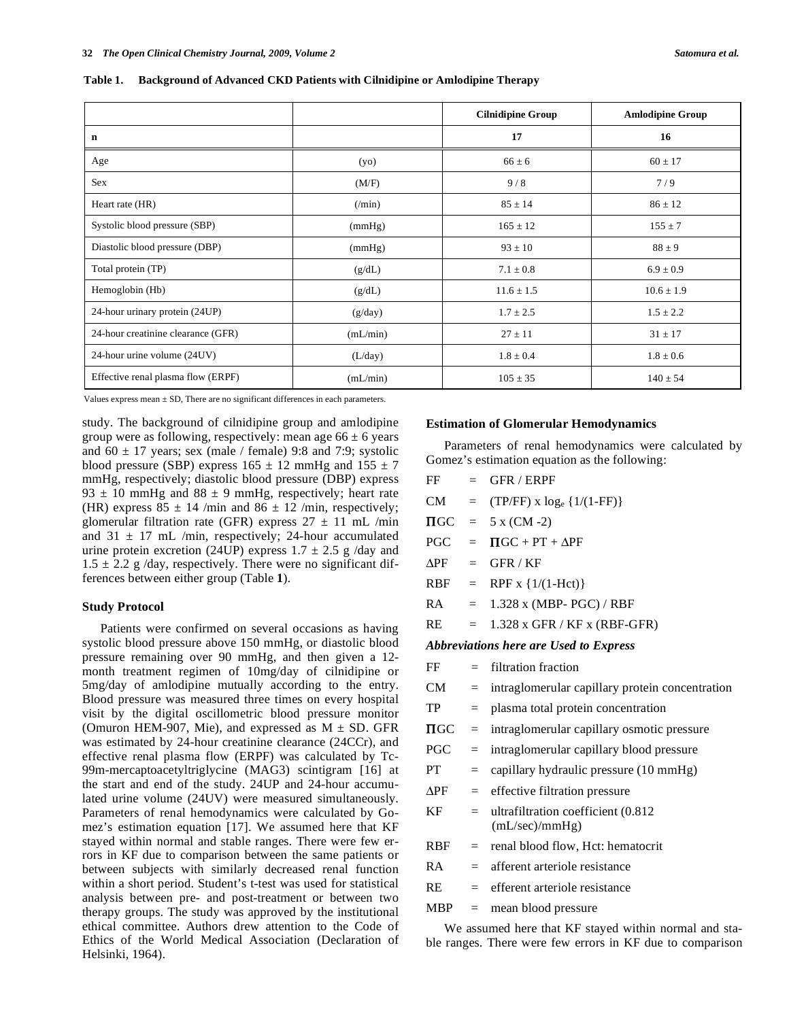**Table 1. Background of Advanced CKD Patients with Cilnidipine or Amlodipine Therapy** 

|                                    |                | <b>Cilnidipine Group</b> | <b>Amlodipine Group</b> |
|------------------------------------|----------------|--------------------------|-------------------------|
| n                                  |                | 17                       | 16                      |
| Age                                | (yo)           | $66 \pm 6$               | $60 \pm 17$             |
| <b>Sex</b>                         | (M/F)          | 9/8                      | 7/9                     |
| Heart rate (HR)                    | $(\text{min})$ | $85 \pm 14$              | $86 \pm 12$             |
| Systolic blood pressure (SBP)      | (mmHg)         | $165 \pm 12$             | $155 \pm 7$             |
| Diastolic blood pressure (DBP)     | (mmHg)         | $93 \pm 10$              | $88 \pm 9$              |
| Total protein (TP)                 | (g/dL)         | $7.1 \pm 0.8$            | $6.9 \pm 0.9$           |
| Hemoglobin (Hb)                    | (g/dL)         | $11.6 \pm 1.5$           | $10.6 \pm 1.9$          |
| 24-hour urinary protein (24UP)     | (g/day)        | $1.7 \pm 2.5$            | $1.5 \pm 2.2$           |
| 24-hour creatinine clearance (GFR) | (mL/min)       | $27 \pm 11$              | $31 \pm 17$             |
| 24-hour urine volume (24UV)        | (L/day)        | $1.8 \pm 0.4$            | $1.8 \pm 0.6$           |
| Effective renal plasma flow (ERPF) | (mL/min)       | $105 \pm 35$             | $140 \pm 54$            |

Values express mean  $\pm$  SD, There are no significant differences in each parameters.

study. The background of cilnidipine group and amlodipine group were as following, respectively: mean age  $66 \pm 6$  years and  $60 \pm 17$  years; sex (male / female) 9:8 and 7:9; systolic blood pressure (SBP) express  $165 \pm 12$  mmHg and  $155 \pm 7$ mmHg, respectively; diastolic blood pressure (DBP) express 93  $\pm$  10 mmHg and 88  $\pm$  9 mmHg, respectively; heart rate (HR) express  $85 \pm 14$  /min and  $86 \pm 12$  /min, respectively; glomerular filtration rate (GFR) express  $27 \pm 11$  mL /min and  $31 \pm 17$  mL /min, respectively; 24-hour accumulated urine protein excretion (24UP) express  $1.7 \pm 2.5$  g /day and  $1.5 \pm 2.2$  g/day, respectively. There were no significant differences between either group (Table **1**).

#### **Study Protocol**

 Patients were confirmed on several occasions as having systolic blood pressure above 150 mmHg, or diastolic blood pressure remaining over 90 mmHg, and then given a 12 month treatment regimen of 10mg/day of cilnidipine or 5mg/day of amlodipine mutually according to the entry. Blood pressure was measured three times on every hospital visit by the digital oscillometric blood pressure monitor (Omuron HEM-907, Mie), and expressed as  $M \pm SD$ . GFR was estimated by 24-hour creatinine clearance (24CCr), and effective renal plasma flow (ERPF) was calculated by Tc-99m-mercaptoacetyltriglycine (MAG3) scintigram [16] at the start and end of the study. 24UP and 24-hour accumulated urine volume (24UV) were measured simultaneously. Parameters of renal hemodynamics were calculated by Gomez's estimation equation [17]. We assumed here that KF stayed within normal and stable ranges. There were few errors in KF due to comparison between the same patients or between subjects with similarly decreased renal function within a short period. Student's t-test was used for statistical analysis between pre- and post-treatment or between two therapy groups. The study was approved by the institutional ethical committee. Authors drew attention to the Code of Ethics of the World Medical Association (Declaration of Helsinki, 1964).

#### **Estimation of Glomerular Hemodynamics**

 Parameters of renal hemodynamics were calculated by Gomez's estimation equation as the following:

| FF                     | $=$               | <b>GFR / ERPF</b>                                     |  |  |  |
|------------------------|-------------------|-------------------------------------------------------|--|--|--|
| CM.                    | $=$               | $(TP/FF)$ x $log_e {1/(1-FF)}$                        |  |  |  |
| $\Pi$ GC               | $=$               | $5 x (CM - 2)$                                        |  |  |  |
| <b>PGC</b>             | $=$               | $\Pi$ GC + PT + $\Delta$ PF                           |  |  |  |
| $\Delta$ PF $\;$       | $=$               | GFR/KF                                                |  |  |  |
| <b>RBF</b>             | $\equiv$          | RPF x $\{1/(1-Hct)\}$                                 |  |  |  |
| RA                     | $=$               | $1.328$ x (MBP- PGC) / RBF                            |  |  |  |
| RE                     | $=$               | 1.328 x GFR / KF x (RBF-GFR)                          |  |  |  |
|                        |                   | Abbreviations here are Used to Express                |  |  |  |
| FF                     | $=$               | filtration fraction                                   |  |  |  |
| CM -                   | $=$               | intraglomerular capillary protein concentration       |  |  |  |
| TP                     | $=$               | plasma total protein concentration                    |  |  |  |
| $\Pi$ GC               | $=$               | intraglomerular capillary osmotic pressure            |  |  |  |
| <b>PGC</b>             | $=$               | intraglomerular capillary blood pressure              |  |  |  |
| <b>PT</b>              | $=$               | capillary hydraulic pressure (10 mmHg)                |  |  |  |
| $\Delta \mathrm{PF}^-$ | $=$               | effective filtration pressure                         |  |  |  |
| KF                     | $=$               | ultrafiltration coefficient (0.812)<br>(mL/sec)/mmHg) |  |  |  |
| <b>RBF</b>             | $\qquad \qquad =$ | renal blood flow, Hct: hematocrit                     |  |  |  |
| RA                     | $=$               | afferent arteriole resistance                         |  |  |  |
| <b>RE</b>              | $=$               | efferent arteriole resistance                         |  |  |  |
| <b>MBP</b>             | $=$               | mean blood pressure                                   |  |  |  |
|                        |                   | We assumed here that KF stayed within normal and sta- |  |  |  |

ble ranges. There were few errors in KF due to comparison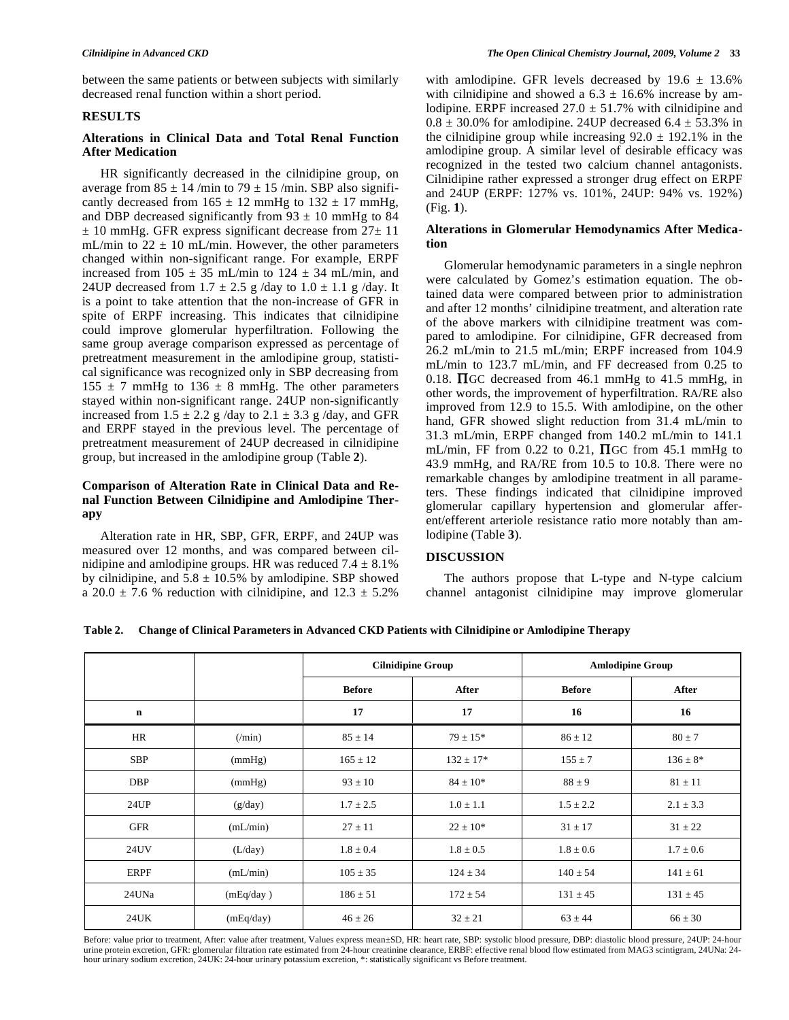between the same patients or between subjects with similarly decreased renal function within a short period.

#### **RESULTS**

# **Alterations in Clinical Data and Total Renal Function After Medication**

 HR significantly decreased in the cilnidipine group, on average from  $85 \pm 14$  /min to  $79 \pm 15$  /min. SBP also significantly decreased from  $165 \pm 12$  mmHg to  $132 \pm 17$  mmHg, and DBP decreased significantly from  $93 \pm 10$  mmHg to 84  $\pm$  10 mmHg. GFR express significant decrease from 27 $\pm$  11 mL/min to  $22 \pm 10$  mL/min. However, the other parameters changed within non-significant range. For example, ERPF increased from  $105 \pm 35$  mL/min to  $124 \pm 34$  mL/min, and 24UP decreased from  $1.7 \pm 2.5$  g /day to  $1.0 \pm 1.1$  g /day. It is a point to take attention that the non-increase of GFR in spite of ERPF increasing. This indicates that cilnidipine could improve glomerular hyperfiltration. Following the same group average comparison expressed as percentage of pretreatment measurement in the amlodipine group, statistical significance was recognized only in SBP decreasing from  $155 \pm 7$  mmHg to  $136 \pm 8$  mmHg. The other parameters stayed within non-significant range. 24UP non-significantly increased from  $1.5 \pm 2.2$  g /day to  $2.1 \pm 3.3$  g /day, and GFR and ERPF stayed in the previous level. The percentage of pretreatment measurement of 24UP decreased in cilnidipine group, but increased in the amlodipine group (Table **2**).

# **Comparison of Alteration Rate in Clinical Data and Renal Function Between Cilnidipine and Amlodipine Therapy**

 Alteration rate in HR, SBP, GFR, ERPF, and 24UP was measured over 12 months, and was compared between cilnidipine and amlodipine groups. HR was reduced  $7.4 \pm 8.1\%$ by cilnidipine, and  $5.8 \pm 10.5\%$  by amlodipine. SBP showed a  $20.0 \pm 7.6$  % reduction with cilnidipine, and  $12.3 \pm 5.2$ %

with amlodipine. GFR levels decreased by  $19.6 \pm 13.6\%$ with cilnidipine and showed a  $6.3 \pm 16.6\%$  increase by amlodipine. ERPF increased  $27.0 \pm 51.7\%$  with cilnidipine and  $0.8 \pm 30.0\%$  for amlodipine. 24UP decreased  $6.4 \pm 53.3\%$  in the cilnidipine group while increasing  $92.0 \pm 192.1\%$  in the amlodipine group. A similar level of desirable efficacy was recognized in the tested two calcium channel antagonists. Cilnidipine rather expressed a stronger drug effect on ERPF and 24UP (ERPF: 127% vs. 101%, 24UP: 94% vs. 192%) (Fig. **1**).

# **Alterations in Glomerular Hemodynamics After Medication**

 Glomerular hemodynamic parameters in a single nephron were calculated by Gomez's estimation equation. The obtained data were compared between prior to administration and after 12 months' cilnidipine treatment, and alteration rate of the above markers with cilnidipine treatment was compared to amlodipine. For cilnidipine, GFR decreased from 26.2 mL/min to 21.5 mL/min; ERPF increased from 104.9 mL/min to 123.7 mL/min, and FF decreased from 0.25 to 0.18.  $\Pi$ GC decreased from 46.1 mmHg to 41.5 mmHg, in other words, the improvement of hyperfiltration. RA/RE also improved from 12.9 to 15.5. With amlodipine, on the other hand, GFR showed slight reduction from 31.4 mL/min to 31.3 mL/min, ERPF changed from 140.2 mL/min to 141.1 mL/min, FF from 0.22 to 0.21,  $\Pi$ GC from 45.1 mmHg to 43.9 mmHg, and RA/RE from 10.5 to 10.8. There were no remarkable changes by amlodipine treatment in all parameters. These findings indicated that cilnidipine improved glomerular capillary hypertension and glomerular afferent/efferent arteriole resistance ratio more notably than amlodipine (Table **3**).

## **DISCUSSION**

 The authors propose that L-type and N-type calcium channel antagonist cilnidipine may improve glomerular

| Table 2. Change of Clinical Parameters in Advanced CKD Patients with Cilnidipine or Amlodipine Therapy |  |
|--------------------------------------------------------------------------------------------------------|--|
|                                                                                                        |  |

|             |                | <b>Cilnidipine Group</b> |               | <b>Amlodipine Group</b> |               |
|-------------|----------------|--------------------------|---------------|-------------------------|---------------|
|             |                | <b>Before</b>            | After         | <b>Before</b>           | After         |
| $\mathbf n$ |                | 17                       | 17            | 16                      | 16            |
| HR          | $(\text{min})$ | $85 \pm 14$              | $79 \pm 15*$  | $86 \pm 12$             | $80 \pm 7$    |
| SBP         | (mmHg)         | $165 \pm 12$             | $132 \pm 17*$ | $155 \pm 7$             | $136 \pm 8*$  |
| DBP         | (mmHg)         | $93 \pm 10$              | $84 \pm 10*$  | $88 \pm 9$              | $81 \pm 11$   |
| 24UP        | (g/day)        | $1.7 \pm 2.5$            | $1.0 \pm 1.1$ | $1.5 \pm 2.2$           | $2.1 \pm 3.3$ |
| GFR         | (mL/min)       | $27 \pm 11$              | $22 \pm 10^*$ | $31 \pm 17$             | $31 \pm 22$   |
| 24UV        | (L/day)        | $1.8 \pm 0.4$            | $1.8 \pm 0.5$ | $1.8 \pm 0.6$           | $1.7 \pm 0.6$ |
| ERPF        | (mL/min)       | $105 \pm 35$             | $124 \pm 34$  | $140 \pm 54$            | $141 \pm 61$  |
| 24UNa       | (mEq/day)      | $186 \pm 51$             | $172 \pm 54$  | $131 \pm 45$            | $131 \pm 45$  |
| 24UK        | (mEq/day)      | $46 \pm 26$              | $32 \pm 21$   | $63 \pm 44$             | $66 \pm 30$   |

Before: value prior to treatment, After: value after treatment, Values express mean±SD, HR: heart rate, SBP: systolic blood pressure, DBP: diastolic blood pressure, 24UP: 24-hour urine protein excretion, GFR: glomerular filtration rate estimated from 24-hour creatinine clearance, ERBF: effective renal blood flow estimated from MAG3 scintigram, 24UNa: 24 hour urinary sodium excretion, 24UK: 24-hour urinary potassium excretion, \*: statistically significant vs Before treatment.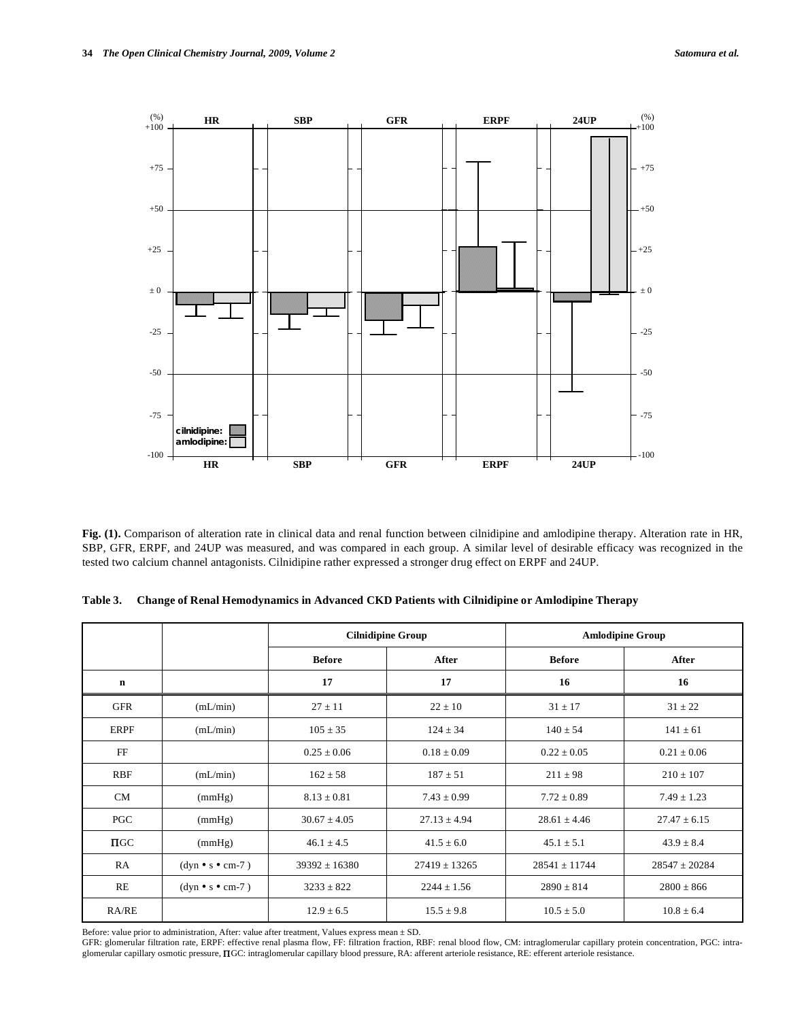

**Fig. (1).** Comparison of alteration rate in clinical data and renal function between cilnidipine and amlodipine therapy. Alteration rate in HR, SBP, GFR, ERPF, and 24UP was measured, and was compared in each group. A similar level of desirable efficacy was recognized in the tested two calcium channel antagonists. Cilnidipine rather expressed a stronger drug effect on ERPF and 24UP.

|             |                            | <b>Cilnidipine Group</b> |                   | <b>Amlodipine Group</b> |                   |
|-------------|----------------------------|--------------------------|-------------------|-------------------------|-------------------|
|             |                            | <b>Before</b>            | After             | <b>Before</b>           | After             |
| $\mathbf n$ |                            | 17                       | 17                | 16                      | 16                |
| GFR         | (mL/min)                   | $27 \pm 11$              | $22 \pm 10$       | $31 \pm 17$             | $31 \pm 22$       |
| <b>ERPF</b> | (mL/min)                   | $105 \pm 35$             | $124 \pm 34$      | $140 \pm 54$            | $141 \pm 61$      |
| FF          |                            | $0.25 \pm 0.06$          | $0.18 \pm 0.09$   | $0.22 \pm 0.05$         | $0.21 \pm 0.06$   |
| <b>RBF</b>  | (mL/min)                   | $162 \pm 58$             | $187 \pm 51$      | $211 \pm 98$            | $210 \pm 107$     |
| <b>CM</b>   | (mmHg)                     | $8.13 \pm 0.81$          | $7.43 \pm 0.99$   | $7.72 \pm 0.89$         | $7.49 \pm 1.23$   |
| PGC         | (mmHg)                     | $30.67 \pm 4.05$         | $27.13 \pm 4.94$  | $28.61 \pm 4.46$        | $27.47 \pm 6.15$  |
| $\Pi$ GC    | (mmHg)                     | $46.1 \pm 4.5$           | $41.5 \pm 6.0$    | $45.1 \pm 5.1$          | $43.9 \pm 8.4$    |
| RA          | $(dyn \cdot s \cdot cm-7)$ | $39392 \pm 16380$        | $27419 \pm 13265$ | $28541 \pm 11744$       | $28547 \pm 20284$ |
| RE          | $(dyn \cdot s \cdot cm-7)$ | $3233 \pm 822$           | $2244 \pm 1.56$   | $2890 \pm 814$          | $2800 \pm 866$    |
| RA/RE       |                            | $12.9 \pm 6.5$           | $15.5 \pm 9.8$    | $10.5 \pm 5.0$          | $10.8 \pm 6.4$    |

**Table 3. Change of Renal Hemodynamics in Advanced CKD Patients with Cilnidipine or Amlodipine Therapy** 

Before: value prior to administration, After: value after treatment, Values express mean  $\pm$  SD.

GFR: glomerular filtration rate, ERPF: effective renal plasma flow, FF: filtration fraction, RBF: renal blood flow, CM: intraglomerular capillary protein concentration, PGC: intraglomerular capillary osmotic pressure,  $\Pi$ GC: intraglomerular capillary blood pressure, RA: afferent arteriole resistance, RE: efferent arteriole resistance.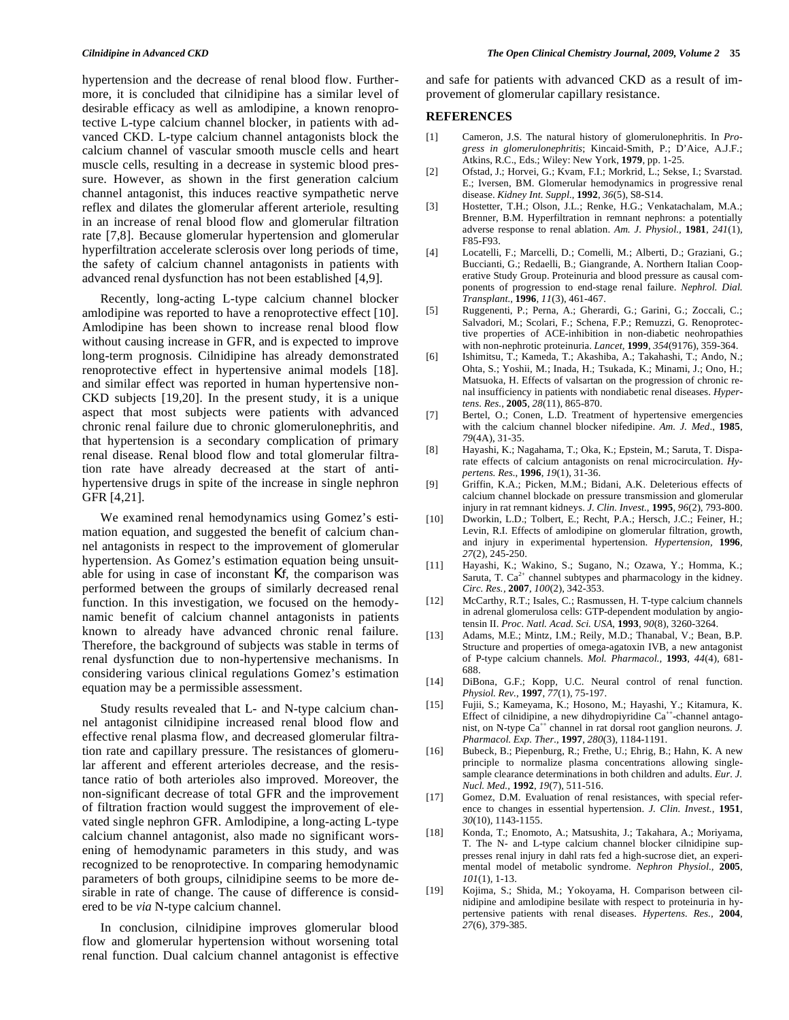hypertension and the decrease of renal blood flow. Furthermore, it is concluded that cilnidipine has a similar level of desirable efficacy as well as amlodipine, a known renoprotective L-type calcium channel blocker, in patients with advanced CKD. L-type calcium channel antagonists block the calcium channel of vascular smooth muscle cells and heart muscle cells, resulting in a decrease in systemic blood pressure. However, as shown in the first generation calcium channel antagonist, this induces reactive sympathetic nerve reflex and dilates the glomerular afferent arteriole, resulting in an increase of renal blood flow and glomerular filtration rate [7,8]. Because glomerular hypertension and glomerular hyperfiltration accelerate sclerosis over long periods of time, the safety of calcium channel antagonists in patients with advanced renal dysfunction has not been established [4,9].

 Recently, long-acting L-type calcium channel blocker amlodipine was reported to have a renoprotective effect [10]. Amlodipine has been shown to increase renal blood flow without causing increase in GFR, and is expected to improve long-term prognosis. Cilnidipine has already demonstrated renoprotective effect in hypertensive animal models [18]. and similar effect was reported in human hypertensive non-CKD subjects [19,20]. In the present study, it is a unique aspect that most subjects were patients with advanced chronic renal failure due to chronic glomerulonephritis, and that hypertension is a secondary complication of primary renal disease. Renal blood flow and total glomerular filtration rate have already decreased at the start of antihypertensive drugs in spite of the increase in single nephron GFR [4,21].

 We examined renal hemodynamics using Gomez's estimation equation, and suggested the benefit of calcium channel antagonists in respect to the improvement of glomerular hypertension. As Gomez's estimation equation being unsuitable for using in case of inconstant Kf, the comparison was performed between the groups of similarly decreased renal function. In this investigation, we focused on the hemodynamic benefit of calcium channel antagonists in patients known to already have advanced chronic renal failure. Therefore, the background of subjects was stable in terms of renal dysfunction due to non-hypertensive mechanisms. In considering various clinical regulations Gomez's estimation equation may be a permissible assessment.

 Study results revealed that L- and N-type calcium channel antagonist cilnidipine increased renal blood flow and effective renal plasma flow, and decreased glomerular filtration rate and capillary pressure. The resistances of glomerular afferent and efferent arterioles decrease, and the resistance ratio of both arterioles also improved. Moreover, the non-significant decrease of total GFR and the improvement of filtration fraction would suggest the improvement of elevated single nephron GFR. Amlodipine, a long-acting L-type calcium channel antagonist, also made no significant worsening of hemodynamic parameters in this study, and was recognized to be renoprotective. In comparing hemodynamic parameters of both groups, cilnidipine seems to be more desirable in rate of change. The cause of difference is considered to be *via* N-type calcium channel.

 In conclusion, cilnidipine improves glomerular blood flow and glomerular hypertension without worsening total renal function. Dual calcium channel antagonist is effective and safe for patients with advanced CKD as a result of improvement of glomerular capillary resistance.

### **REFERENCES**

- [1] Cameron, J.S. The natural history of glomerulonephritis. In *Progress in glomerulonephritis*; Kincaid-Smith, P.; D'Aice, A.J.F.; Atkins, R.C., Eds.; Wiley: New York, **1979**, pp. 1-25.
- [2] Ofstad, J.; Horvei, G.; Kvam, F.I.; Morkrid, L.; Sekse, I.; Svarstad. E.; Iversen, BM. Glomerular hemodynamics in progressive renal disease. *Kidney Int. Suppl.*, **1992**, *36*(5), S8-S14.
- [3] Hostetter, T.H.; Olson, J.L.; Renke, H.G.; Venkatachalam, M.A.; Brenner, B.M. Hyperfiltration in remnant nephrons: a potentially adverse response to renal ablation. *Am. J. Physiol.,* **1981**, *241*(1)*,*  F85-F93.
- [4] Locatelli, F.; Marcelli, D.; Comelli, M.; Alberti, D.; Graziani, G.; Buccianti, G.; Redaelli, B.; Giangrande, A. Northern Italian Cooperative Study Group. Proteinuria and blood pressure as causal components of progression to end-stage renal failure. *Nephrol. Dial. Transplant.*, **1996**, *11*(3), 461-467.
- [5] Ruggenenti, P.; Perna, A.; Gherardi, G.; Garini, G.; Zoccali, C.; Salvadori, M.; Scolari, F.; Schena, F.P.; Remuzzi, G. Renoprotective properties of ACE-inhibition in non-diabetic neohropathies with non-nephrotic proteinuria. *Lancet,* **1999**, *354*(9176), 359-364.
- [6] Ishimitsu, T.; Kameda, T.; Akashiba, A.; Takahashi, T.; Ando, N.; Ohta, S.; Yoshii, M.; Inada, H.; Tsukada, K.; Minami, J.; Ono, H.; Matsuoka, H. Effects of valsartan on the progression of chronic renal insufficiency in patients with nondiabetic renal diseases. *Hypertens. Res.,* **2005**, *28*(11), 865-870.
- [7] Bertel, O.; Conen, L.D. Treatment of hypertensive emergencies with the calcium channel blocker nifedipine. *Am. J. Med*., **1985**, *79*(4A), 31-35.
- [8] Hayashi, K.; Nagahama, T.; Oka, K.; Epstein, M.; Saruta, T. Disparate effects of calcium antagonists on renal microcirculation. *Hypertens. Res.*, **1996**, *19*(1)*,* 31-36.
- [9] Griffin, K.A.; Picken, M.M.; Bidani, A.K. Deleterious effects of calcium channel blockade on pressure transmission and glomerular injury in rat remnant kidneys. *J. Clin. Invest.,* **1995**, *96*(2), 793-800.
- [10] Dworkin, L.D.; Tolbert, E.; Recht, P.A.; Hersch, J.C.; Feiner, H.; Levin, R.I. Effects of amlodipine on glomerular filtration, growth, and injury in experimental hypertension. *Hypertension,* **1996**, *27*(2)*,* 245-250.
- [11] Hayashi, K.; Wakino, S.; Sugano, N.; Ozawa, Y.; Homma, K.; Saruta, T.  $Ca^{2+}$  channel subtypes and pharmacology in the kidney. *Circ. Res.,* **2007**, *100*(2)*,* 342-353.
- [12] McCarthy, R.T.; Isales, C.; Rasmussen, H. T-type calcium channels in adrenal glomerulosa cells: GTP-dependent modulation by angiotensin II. *Proc. Natl. Acad. Sci. USA*, **1993**, *90*(8), 3260-3264.
- [13] Adams, M.E.; Mintz, I.M.; Reily, M.D.; Thanabal, V.; Bean, B.P. Structure and properties of omega-agatoxin IVB, a new antagonist of P-type calcium channels. *Mol. Pharmacol.,* **1993**, *44*(4)*,* 681- 688.
- [14] DiBona, G.F.; Kopp, U.C. Neural control of renal function. *Physiol. Rev.*, **1997**, *77*(1)*,* 75-197.
- [15] Fujii, S.; Kameyama, K.; Hosono, M.; Hayashi, Y.; Kitamura, K. Effect of cilnidipine, a new dihydropiyridine  $Ca^{++}$ -channel antagonist, on N-type  $\hat{C}a^{++}$  channel in rat dorsal root ganglion neurons. *J*. *Pharmacol. Exp. Ther.,* **1997**, *280*(3)*,* 1184-1191.
- [16] Bubeck, B.; Piepenburg, R.; Frethe, U.; Ehrig, B.; Hahn, K. A new principle to normalize plasma concentrations allowing singlesample clearance determinations in both children and adults. *Eur. J. Nucl. Med.,* **1992**, *19*(7)*,* 511-516.
- [17] Gomez, D.M. Evaluation of renal resistances, with special reference to changes in essential hypertension. *J. Clin. Invest.,* **1951**, *30*(10)*,* 1143-1155.
- [18] Konda, T.; Enomoto, A.; Matsushita, J.; Takahara, A.; Moriyama, T. The N- and L-type calcium channel blocker cilnidipine suppresses renal injury in dahl rats fed a high-sucrose diet, an experimental model of metabolic syndrome. *Nephron Physiol.,* **2005**, *101*(1)*,* 1-13.
- [19] Kojima, S.; Shida, M.; Yokoyama, H. Comparison between cilnidipine and amlodipine besilate with respect to proteinuria in hypertensive patients with renal diseases. *Hypertens. Res.,* **2004**, *27*(6)*,* 379-385.